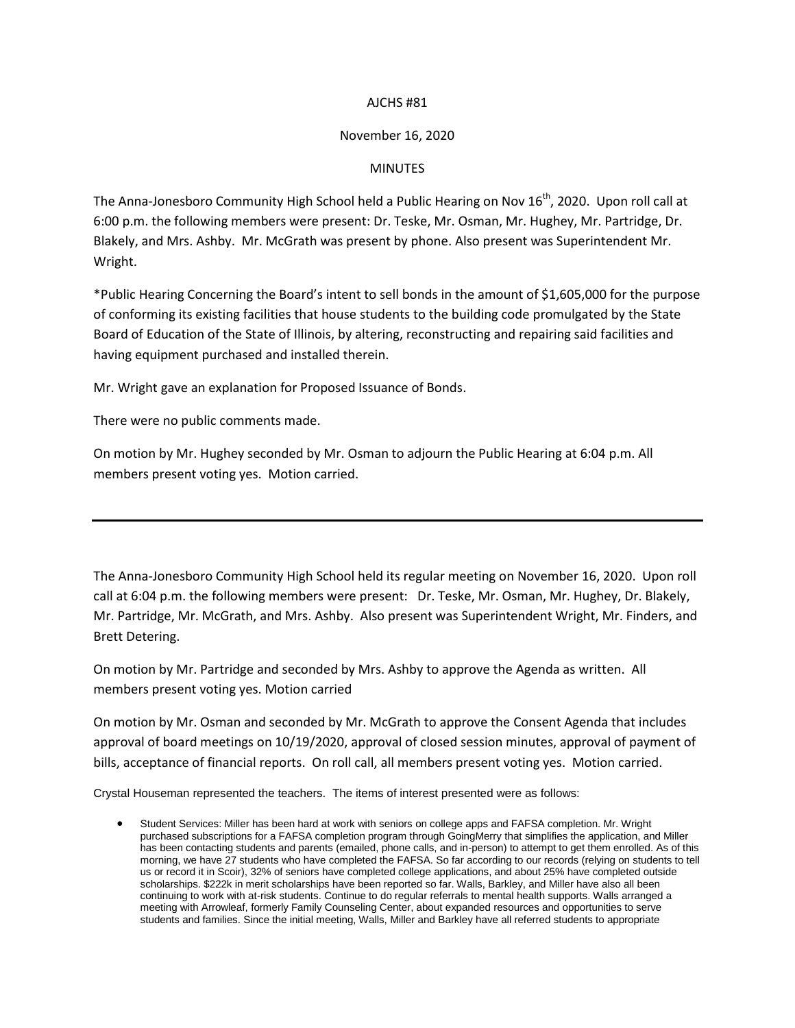## AJCHS #81

## November 16, 2020

## MINUTES

The Anna-Jonesboro Community High School held a Public Hearing on Nov 16<sup>th</sup>, 2020. Upon roll call at 6:00 p.m. the following members were present: Dr. Teske, Mr. Osman, Mr. Hughey, Mr. Partridge, Dr. Blakely, and Mrs. Ashby. Mr. McGrath was present by phone. Also present was Superintendent Mr. Wright.

\*Public Hearing Concerning the Board's intent to sell bonds in the amount of \$1,605,000 for the purpose of conforming its existing facilities that house students to the building code promulgated by the State Board of Education of the State of Illinois, by altering, reconstructing and repairing said facilities and having equipment purchased and installed therein.

Mr. Wright gave an explanation for Proposed Issuance of Bonds.

There were no public comments made.

On motion by Mr. Hughey seconded by Mr. Osman to adjourn the Public Hearing at 6:04 p.m. All members present voting yes. Motion carried.

The Anna-Jonesboro Community High School held its regular meeting on November 16, 2020. Upon roll call at 6:04 p.m. the following members were present: Dr. Teske, Mr. Osman, Mr. Hughey, Dr. Blakely, Mr. Partridge, Mr. McGrath, and Mrs. Ashby. Also present was Superintendent Wright, Mr. Finders, and Brett Detering.

On motion by Mr. Partridge and seconded by Mrs. Ashby to approve the Agenda as written. All members present voting yes. Motion carried

On motion by Mr. Osman and seconded by Mr. McGrath to approve the Consent Agenda that includes approval of board meetings on 10/19/2020, approval of closed session minutes, approval of payment of bills, acceptance of financial reports. On roll call, all members present voting yes. Motion carried.

Crystal Houseman represented the teachers. The items of interest presented were as follows:

 Student Services: Miller has been hard at work with seniors on college apps and FAFSA completion. Mr. Wright purchased subscriptions for a FAFSA completion program through GoingMerry that simplifies the application, and Miller has been contacting students and parents (emailed, phone calls, and in-person) to attempt to get them enrolled. As of this morning, we have 27 students who have completed the FAFSA. So far according to our records (relying on students to tell us or record it in Scoir), 32% of seniors have completed college applications, and about 25% have completed outside scholarships. \$222k in merit scholarships have been reported so far. Walls, Barkley, and Miller have also all been continuing to work with at-risk students. Continue to do regular referrals to mental health supports. Walls arranged a meeting with Arrowleaf, formerly Family Counseling Center, about expanded resources and opportunities to serve students and families. Since the initial meeting, Walls, Miller and Barkley have all referred students to appropriate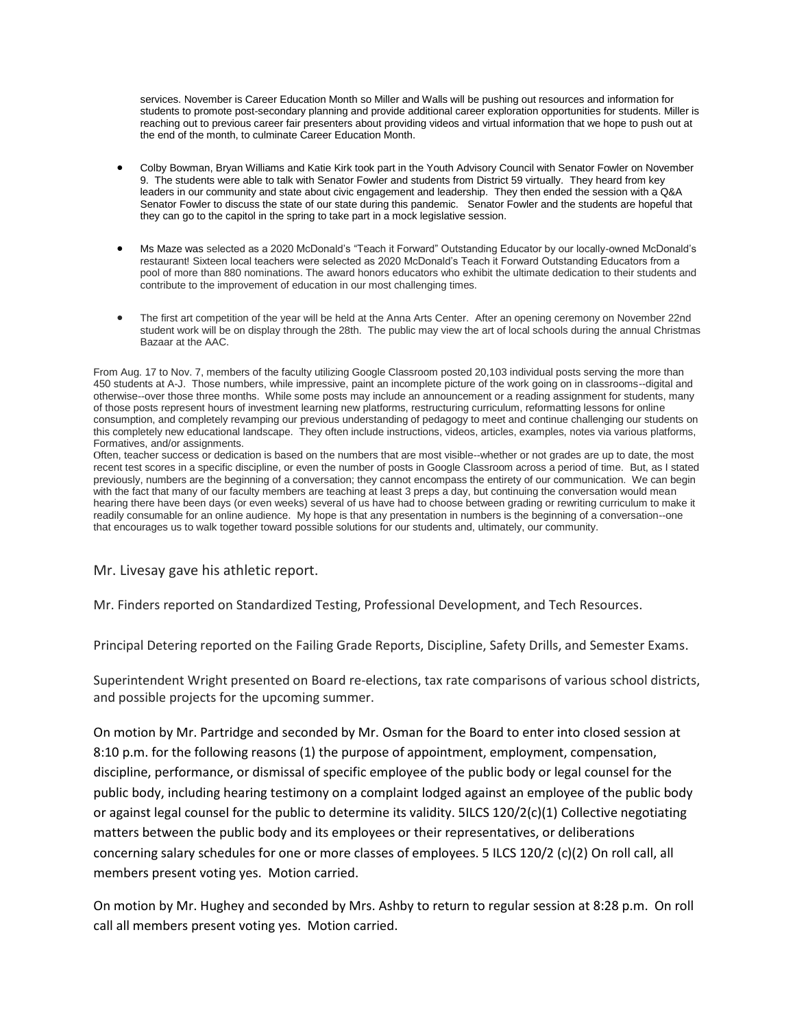services. November is Career Education Month so Miller and Walls will be pushing out resources and information for students to promote post-secondary planning and provide additional career exploration opportunities for students. Miller is reaching out to previous career fair presenters about providing videos and virtual information that we hope to push out at the end of the month, to culminate Career Education Month.

- Colby Bowman, Bryan Williams and Katie Kirk took part in the Youth Advisory Council with Senator Fowler on November 9. The students were able to talk with Senator Fowler and students from District 59 virtually. They heard from key leaders in our community and state about civic engagement and leadership. They then ended the session with a Q&A Senator Fowler to discuss the state of our state during this pandemic. Senator Fowler and the students are hopeful that they can go to the capitol in the spring to take part in a mock legislative session.
- Ms Maze was selected as a 2020 McDonald's "Teach it Forward" Outstanding Educator by our locally-owned McDonald's restaurant! Sixteen local teachers were selected as 2020 McDonald's Teach it Forward Outstanding Educators from a pool of more than 880 nominations. The award honors educators who exhibit the ultimate dedication to their students and contribute to the improvement of education in our most challenging times.
- The first art competition of the year will be held at the Anna Arts Center. After an opening ceremony on November 22nd student work will be on display through the 28th. The public may view the art of local schools during the annual Christmas Bazaar at the AAC.

From Aug. 17 to Nov. 7, members of the faculty utilizing Google Classroom posted 20,103 individual posts serving the more than 450 students at A-J. Those numbers, while impressive, paint an incomplete picture of the work going on in classrooms--digital and otherwise--over those three months. While some posts may include an announcement or a reading assignment for students, many of those posts represent hours of investment learning new platforms, restructuring curriculum, reformatting lessons for online consumption, and completely revamping our previous understanding of pedagogy to meet and continue challenging our students on this completely new educational landscape. They often include instructions, videos, articles, examples, notes via various platforms, Formatives, and/or assignments.

Often, teacher success or dedication is based on the numbers that are most visible--whether or not grades are up to date, the most recent test scores in a specific discipline, or even the number of posts in Google Classroom across a period of time. But, as I stated previously, numbers are the beginning of a conversation; they cannot encompass the entirety of our communication. We can begin with the fact that many of our faculty members are teaching at least 3 preps a day, but continuing the conversation would mean hearing there have been days (or even weeks) several of us have had to choose between grading or rewriting curriculum to make it readily consumable for an online audience. My hope is that any presentation in numbers is the beginning of a conversation--one that encourages us to walk together toward possible solutions for our students and, ultimately, our community.

## Mr. Livesay gave his athletic report.

Mr. Finders reported on Standardized Testing, Professional Development, and Tech Resources.

Principal Detering reported on the Failing Grade Reports, Discipline, Safety Drills, and Semester Exams.

Superintendent Wright presented on Board re-elections, tax rate comparisons of various school districts, and possible projects for the upcoming summer.

On motion by Mr. Partridge and seconded by Mr. Osman for the Board to enter into closed session at 8:10 p.m. for the following reasons (1) the purpose of appointment, employment, compensation, discipline, performance, or dismissal of specific employee of the public body or legal counsel for the public body, including hearing testimony on a complaint lodged against an employee of the public body or against legal counsel for the public to determine its validity. 5ILCS 120/2(c)(1) Collective negotiating matters between the public body and its employees or their representatives, or deliberations concerning salary schedules for one or more classes of employees. 5 ILCS 120/2 (c)(2) On roll call, all members present voting yes. Motion carried.

On motion by Mr. Hughey and seconded by Mrs. Ashby to return to regular session at 8:28 p.m. On roll call all members present voting yes. Motion carried.